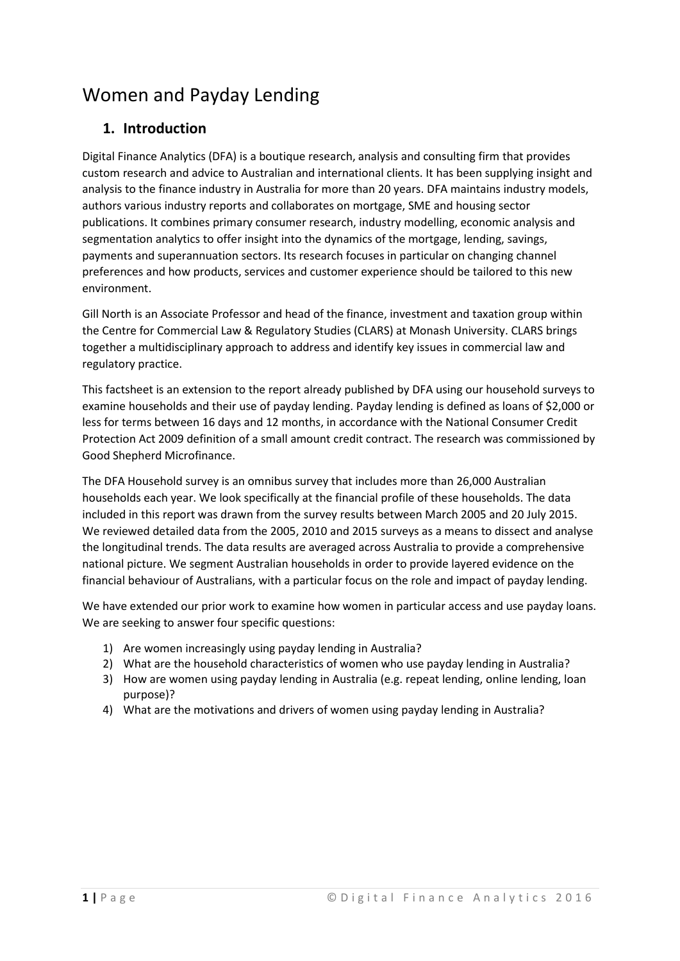# Women and Payday Lending

### **1. Introduction**

Digital Finance Analytics (DFA) is a boutique research, analysis and consulting firm that provides custom research and advice to Australian and international clients. It has been supplying insight and analysis to the finance industry in Australia for more than 20 years. DFA maintains industry models, authors various industry reports and collaborates on mortgage, SME and housing sector publications. It combines primary consumer research, industry modelling, economic analysis and segmentation analytics to offer insight into the dynamics of the mortgage, lending, savings, payments and superannuation sectors. Its research focuses in particular on changing channel preferences and how products, services and customer experience should be tailored to this new environment.

Gill North is an Associate Professor and head of the finance, investment and taxation group within the Centre for Commercial Law & Regulatory Studies (CLARS) at Monash University. CLARS brings together a multidisciplinary approach to address and identify key issues in commercial law and regulatory practice.

This factsheet is an extension to the report already published by DFA using our household surveys to examine households and their use of payday lending. Payday lending is defined as loans of \$2,000 or less for terms between 16 days and 12 months, in accordance with the National Consumer Credit Protection Act 2009 definition of a small amount credit contract. The research was commissioned by Good Shepherd Microfinance.

The DFA Household survey is an omnibus survey that includes more than 26,000 Australian households each year. We look specifically at the financial profile of these households. The data included in this report was drawn from the survey results between March 2005 and 20 July 2015. We reviewed detailed data from the 2005, 2010 and 2015 surveys as a means to dissect and analyse the longitudinal trends. The data results are averaged across Australia to provide a comprehensive national picture. We segment Australian households in order to provide layered evidence on the financial behaviour of Australians, with a particular focus on the role and impact of payday lending.

We have extended our prior work to examine how women in particular access and use payday loans. We are seeking to answer four specific questions:

- 1) Are women increasingly using payday lending in Australia?
- 2) What are the household characteristics of women who use payday lending in Australia?
- 3) How are women using payday lending in Australia (e.g. repeat lending, online lending, loan purpose)?
- 4) What are the motivations and drivers of women using payday lending in Australia?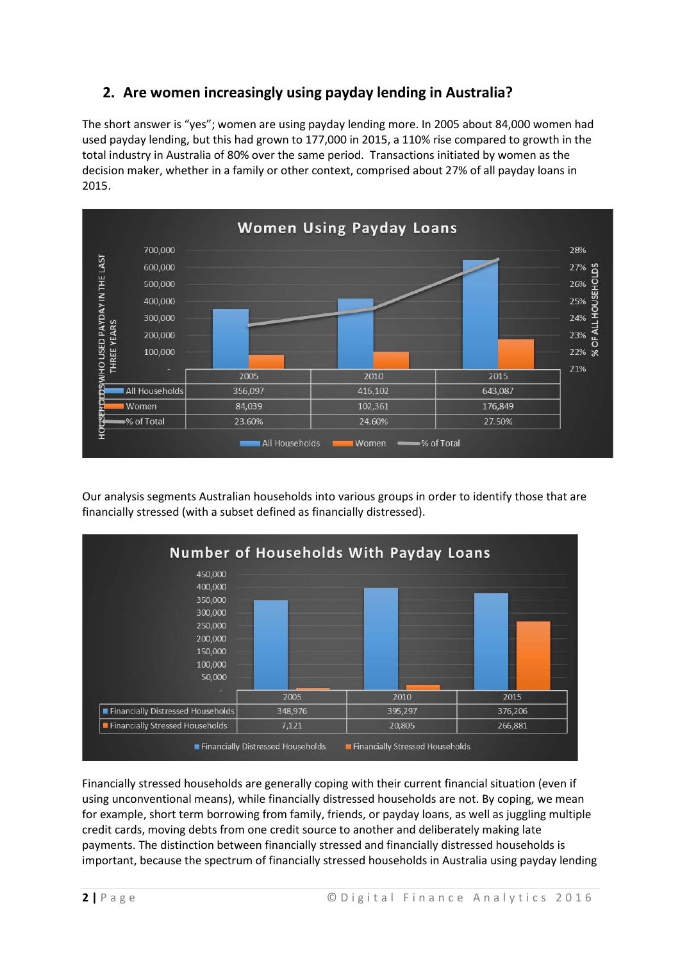## **2. Are women increasingly using payday lending in Australia?**

The short answer is "yes"; women are using payday lending more. In 2005 about 84,000 women had used payday lending, but this had grown to 177,000 in 2015, a 110% rise compared to growth in the total industry in Australia of 80% over the same period. Transactions initiated by women as the decision maker, whether in a family or other context, comprised about 27% of all payday loans in 2015.



Our analysis segments Australian households into various groups in order to identify those that are financially stressed (with a subset defined as financially distressed).



Financially stressed households are generally coping with their current financial situation (even if using unconventional means), while financially distressed households are not. By coping, we mean for example, short term borrowing from family, friends, or payday loans, as well as juggling multiple credit cards, moving debts from one credit source to another and deliberately making late payments. The distinction between financially stressed and financially distressed households is important, because the spectrum of financially stressed households in Australia using payday lending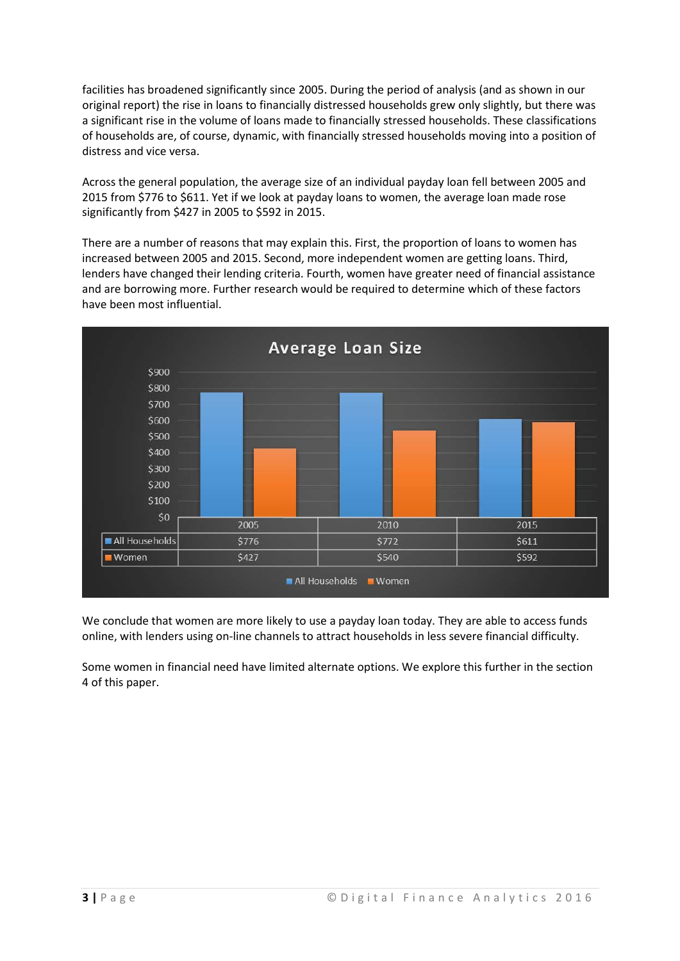facilities has broadened significantly since 2005. During the period of analysis (and as shown in our original report) the rise in loans to financially distressed households grew only slightly, but there was a significant rise in the volume of loans made to financially stressed households. These classifications of households are, of course, dynamic, with financially stressed households moving into a position of distress and vice versa.

Across the general population, the average size of an individual payday loan fell between 2005 and 2015 from \$776 to \$611. Yet if we look at payday loans to women, the average loan made rose significantly from \$427 in 2005 to \$592 in 2015.

There are a number of reasons that may explain this. First, the proportion of loans to women has increased between 2005 and 2015. Second, more independent women are getting loans. Third, lenders have changed their lending criteria. Fourth, women have greater need of financial assistance and are borrowing more. Further research would be required to determine which of these factors have been most influential.



We conclude that women are more likely to use a payday loan today. They are able to access funds online, with lenders using on-line channels to attract households in less severe financial difficulty.

Some women in financial need have limited alternate options. We explore this further in the section 4 of this paper.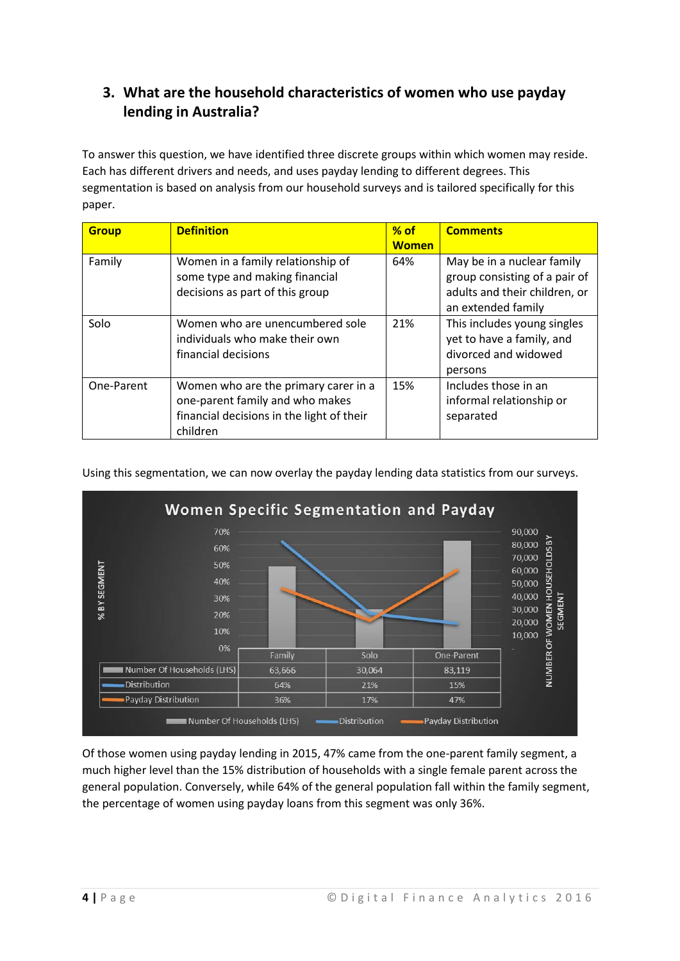## **3. What are the household characteristics of women who use payday lending in Australia?**

To answer this question, we have identified three discrete groups within which women may reside. Each has different drivers and needs, and uses payday lending to different degrees. This segmentation is based on analysis from our household surveys and is tailored specifically for this paper.

| <b>Group</b> | <b>Definition</b>                                                                                                                | $%$ of       | <b>Comments</b>                                                                                                    |
|--------------|----------------------------------------------------------------------------------------------------------------------------------|--------------|--------------------------------------------------------------------------------------------------------------------|
|              |                                                                                                                                  | <b>Women</b> |                                                                                                                    |
| Family       | Women in a family relationship of<br>some type and making financial<br>decisions as part of this group                           | 64%          | May be in a nuclear family<br>group consisting of a pair of<br>adults and their children, or<br>an extended family |
| Solo         | Women who are unencumbered sole<br>individuals who make their own<br>financial decisions                                         | 21%          | This includes young singles<br>yet to have a family, and<br>divorced and widowed<br>persons                        |
| One-Parent   | Women who are the primary carer in a<br>one-parent family and who makes<br>financial decisions in the light of their<br>children | 15%          | Includes those in an<br>informal relationship or<br>separated                                                      |

Using this segmentation, we can now overlay the payday lending data statistics from our surveys.



Of those women using payday lending in 2015, 47% came from the one-parent family segment, a much higher level than the 15% distribution of households with a single female parent across the general population. Conversely, while 64% of the general population fall within the family segment, the percentage of women using payday loans from this segment was only 36%.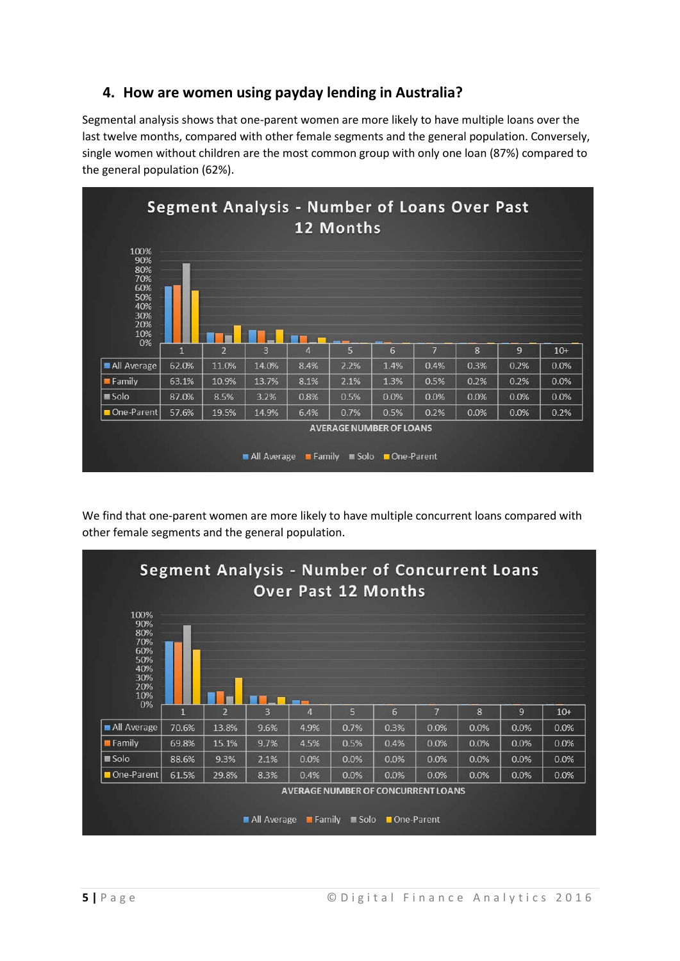#### **4. How are women using payday lending in Australia?**

Segmental analysis shows that one-parent women are more likely to have multiple loans over the last twelve months, compared with other female segments and the general population. Conversely, single women without children are the most common group with only one loan (87%) compared to the general population (62%).



We find that one-parent women are more likely to have multiple concurrent loans compared with other female segments and the general population.

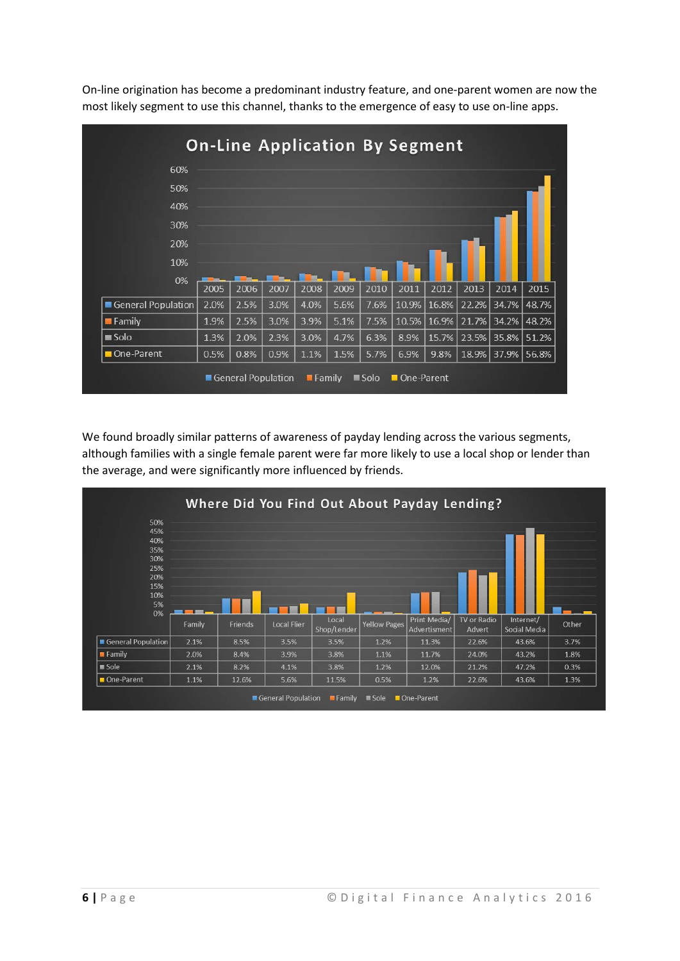|                    |      |      |      |      |      |      | <b>On-Line Application By Segment</b> |             |       |             |       |
|--------------------|------|------|------|------|------|------|---------------------------------------|-------------|-------|-------------|-------|
| 60%                |      |      |      |      |      |      |                                       |             |       |             |       |
| 50%                |      |      |      |      |      |      |                                       |             |       |             |       |
| 40%                |      |      |      |      |      |      |                                       |             |       |             |       |
| 30%                |      |      |      |      |      |      |                                       |             |       |             |       |
| 20%                |      |      |      |      |      |      |                                       |             |       |             |       |
| 10%                |      |      |      |      |      |      |                                       |             |       |             |       |
| 0%                 | 2005 | 2006 | 2007 | 2008 | 2009 | 2010 | 2011                                  | 2012        | 2013  | 2014        | 2015  |
| General Population | 2.0% | 2.5% | 3.0% | 4.0% | 5.6% | 7.6% |                                       | 10.9% 16.8% | 22.2% | 34.7% 48.7% |       |
| <b>E</b> Family    | 1.9% | 2.5% | 3.0% | 3.9% | 5.1% | 7.5% | 10.5%                                 | $ 16.9\% $  | 21.7% | 34.2% 48.2% |       |
| <b>■ Solo</b>      | 1.3% | 2.0% | 2.3% | 3.0% | 4.7% | 6.3% | 8.9%                                  | 15.7%       | 23.5% | 35.8% 51.2% |       |
| One-Parent         | 0.5% | 0.8% | 0.9% | 1.1% | 1.5% | 5.7% | 6.9%                                  | 9.8%        | 18.9% | 37.9%       | 56.8% |

On-line origination has become a predominant industry feature, and one-parent women are now the most likely segment to use this channel, thanks to the emergence of easy to use on-line apps.

We found broadly similar patterns of awareness of payday lending across the various segments, although families with a single female parent were far more likely to use a local shop or lender than the average, and were significantly more influenced by friends.

|                                       |        |         |             |             |                     | Where Did You Find Out About Payday Lending? |             |              |              |
|---------------------------------------|--------|---------|-------------|-------------|---------------------|----------------------------------------------|-------------|--------------|--------------|
| 50%                                   |        |         |             |             |                     |                                              |             |              |              |
| 45%                                   |        |         |             |             |                     |                                              |             |              |              |
| 40%                                   |        |         |             |             |                     |                                              |             |              |              |
| 35%<br>30%                            |        |         |             |             |                     |                                              |             |              |              |
| 25%                                   |        |         |             |             |                     |                                              |             |              |              |
| 20%                                   |        |         |             |             |                     |                                              |             |              |              |
| 15%                                   |        |         |             |             |                     |                                              |             |              |              |
| 10%                                   |        |         |             |             |                     |                                              |             |              |              |
| 5%                                    |        |         |             |             |                     |                                              |             |              |              |
| 0%                                    |        | Friends | Local Flier | Local       | <b>Yellow Pages</b> | Print Media/                                 | TV or Radio | Internet/    | Other        |
|                                       | Family |         |             | Shop/Lender |                     | Advertisment                                 | Advert      | Social Media |              |
|                                       | 2.1%   | 8.5%    | 3.5%        | 3.5%        | 1.2%                | 11.3%                                        | 22.6%       | 43.6%        |              |
| General Population<br><b>E</b> Family | 2.0%   | 8.4%    | 3.9%        | 3.8%        | 1.1%                | 11.7%                                        | 24.0%       | 43.2%        | 3.7%<br>1.8% |
| Sole Sole                             | 2.1%   | 8.2%    | 4.1%        | 3.8%        | 1.2%                | 12.0%                                        | 21.2%       | 47.2%        | 0.3%         |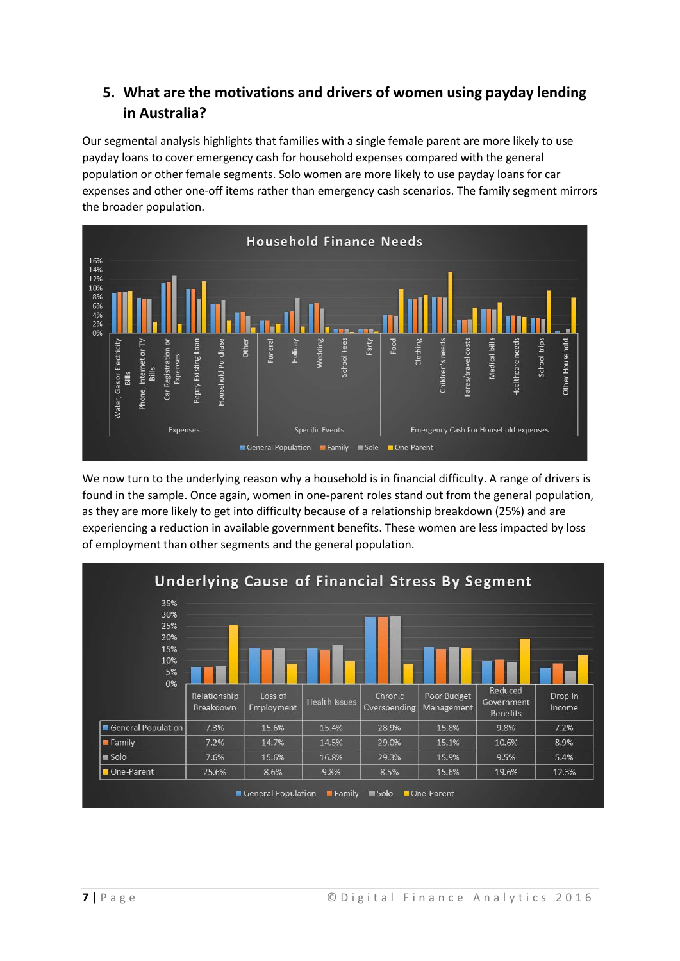## **5. What are the motivations and drivers of women using payday lending in Australia?**

Our segmental analysis highlights that families with a single female parent are more likely to use payday loans to cover emergency cash for household expenses compared with the general population or other female segments. Solo women are more likely to use payday loans for car expenses and other one-off items rather than emergency cash scenarios. The family segment mirrors the broader population.



We now turn to the underlying reason why a household is in financial difficulty. A range of drivers is found in the sample. Once again, women in one-parent roles stand out from the general population, as they are more likely to get into difficulty because of a relationship breakdown (25%) and are experiencing a reduction in available government benefits. These women are less impacted by loss of employment than other segments and the general population.